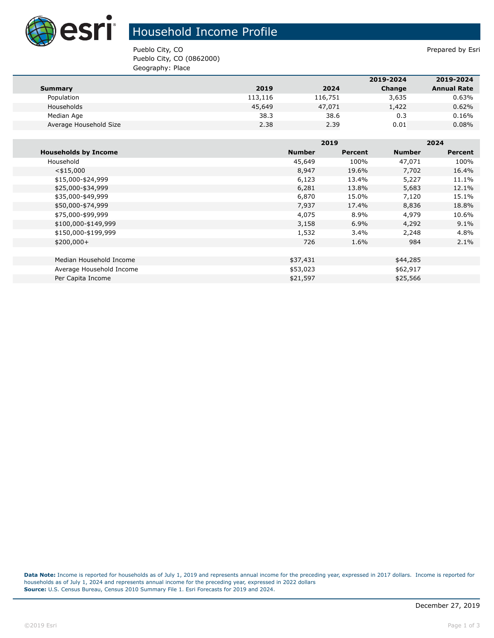

## Household Income Profile

Pueblo City, CO **Prepared by Estimate Prepared by Estimate Prepared by Estimate Prepared by Estimate Prepared by Estimate Prepared by Estimate Prepared by Estimate Prepared by Estimate Prepared by Estimate Prepared by Esti** Pueblo City, CO (0862000) Geography: Place

|                        |         |         | 2019-2024 | 2019-2024          |
|------------------------|---------|---------|-----------|--------------------|
| <b>Summary</b>         | 2019    | 2024    | Change    | <b>Annual Rate</b> |
| Population             | 113,116 | 116,751 | 3,635     | 0.63%              |
| Households             | 45,649  | 47,071  | 1,422     | 0.62%              |
| Median Age             | 38.3    | 38.6    | 0.3       | 0.16%              |
| Average Household Size | 2.38    | 2.39    | 0.01      | $0.08\%$           |

|                             |               | 2019    |               | 2024    |  |
|-----------------------------|---------------|---------|---------------|---------|--|
| <b>Households by Income</b> | <b>Number</b> | Percent | <b>Number</b> | Percent |  |
| Household                   | 45,649        | 100%    | 47,071        | 100%    |  |
| $<$ \$15,000                | 8,947         | 19.6%   | 7,702         | 16.4%   |  |
| \$15,000-\$24,999           | 6,123         | 13.4%   | 5,227         | 11.1%   |  |
| \$25,000-\$34,999           | 6,281         | 13.8%   | 5,683         | 12.1%   |  |
| \$35,000-\$49,999           | 6,870         | 15.0%   | 7,120         | 15.1%   |  |
| \$50,000-\$74,999           | 7,937         | 17.4%   | 8,836         | 18.8%   |  |
| \$75,000-\$99,999           | 4,075         | 8.9%    | 4,979         | 10.6%   |  |
| \$100,000-\$149,999         | 3,158         | 6.9%    | 4,292         | 9.1%    |  |
| \$150,000-\$199,999         | 1,532         | $3.4\%$ | 2,248         | 4.8%    |  |
| $$200,000+$                 | 726           | 1.6%    | 984           | $2.1\%$ |  |
|                             |               |         |               |         |  |
| Median Household Income     | \$37,431      |         | \$44,285      |         |  |
| Average Household Income    | \$53,023      |         | \$62,917      |         |  |
| Per Capita Income           | \$21,597      |         | \$25,566      |         |  |

**Data Note:** Income is reported for households as of July 1, 2019 and represents annual income for the preceding year, expressed in 2017 dollars. Income is reported for households as of July 1, 2024 and represents annual income for the preceding year, expressed in 2022 dollars **Source:** U.S. Census Bureau, Census 2010 Summary File 1. Esri Forecasts for 2019 and 2024.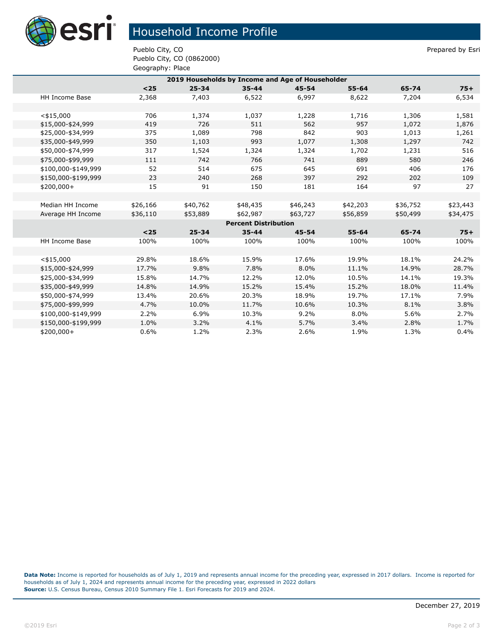

## Household Income Profile

Pueblo City, CO **Prepared by Estimate Prepared by Estimate Prepared by Estimate Prepared by Estimate Prepared by Estimate Prepared by Estimate Prepared by Estimate Prepared by Estimate Prepared by Estimate Prepared by Esti** Pueblo City, CO (0862000) Geography: Place

| 2019 Households by Income and Age of Householder |          |           |           |           |           |          |          |  |
|--------------------------------------------------|----------|-----------|-----------|-----------|-----------|----------|----------|--|
|                                                  | $25$     | $25 - 34$ | $35 - 44$ | $45 - 54$ | $55 - 64$ | 65-74    | $75+$    |  |
| HH Income Base                                   | 2,368    | 7,403     | 6,522     | 6,997     | 8,622     | 7,204    | 6,534    |  |
|                                                  |          |           |           |           |           |          |          |  |
| $<$ \$15,000                                     | 706      | 1,374     | 1,037     | 1,228     | 1,716     | 1,306    | 1,581    |  |
| \$15,000-\$24,999                                | 419      | 726       | 511       | 562       | 957       | 1,072    | 1,876    |  |
| \$25,000-\$34,999                                | 375      | 1,089     | 798       | 842       | 903       | 1,013    | 1,261    |  |
| \$35,000-\$49,999                                | 350      | 1,103     | 993       | 1,077     | 1,308     | 1,297    | 742      |  |
| \$50,000-\$74,999                                | 317      | 1,524     | 1,324     | 1,324     | 1,702     | 1,231    | 516      |  |
| \$75,000-\$99,999                                | 111      | 742       | 766       | 741       | 889       | 580      | 246      |  |
| \$100,000-\$149,999                              | 52       | 514       | 675       | 645       | 691       | 406      | 176      |  |
| \$150,000-\$199,999                              | 23       | 240       | 268       | 397       | 292       | 202      | 109      |  |
| \$200,000+                                       | 15       | 91        | 150       | 181       | 164       | 97       | 27       |  |
|                                                  |          |           |           |           |           |          |          |  |
| Median HH Income                                 | \$26,166 | \$40,762  | \$48,435  | \$46,243  | \$42,203  | \$36,752 | \$23,443 |  |
| Average HH Income                                | \$36,110 | \$53,889  | \$62,987  | \$63,727  | \$56,859  | \$50,499 | \$34,475 |  |
| <b>Percent Distribution</b>                      |          |           |           |           |           |          |          |  |
|                                                  | $<$ 25   | $25 - 34$ | $35 - 44$ | $45 - 54$ | $55 - 64$ | 65-74    | $75+$    |  |
| HH Income Base                                   | 100%     | 100%      | 100%      | 100%      | 100%      | 100%     | 100%     |  |
|                                                  |          |           |           |           |           |          |          |  |
| $<$ \$15,000                                     | 29.8%    | 18.6%     | 15.9%     | 17.6%     | 19.9%     | 18.1%    | 24.2%    |  |
| \$15,000-\$24,999                                | 17.7%    | 9.8%      | 7.8%      | 8.0%      | 11.1%     | 14.9%    | 28.7%    |  |
| \$25,000-\$34,999                                | 15.8%    | 14.7%     | 12.2%     | 12.0%     | 10.5%     | 14.1%    | 19.3%    |  |
| \$35,000-\$49,999                                | 14.8%    | 14.9%     | 15.2%     | 15.4%     | 15.2%     | 18.0%    | 11.4%    |  |
| \$50,000-\$74,999                                | 13.4%    | 20.6%     | 20.3%     | 18.9%     | 19.7%     | 17.1%    | 7.9%     |  |
| \$75,000-\$99,999                                | 4.7%     | 10.0%     | 11.7%     | 10.6%     | 10.3%     | 8.1%     | 3.8%     |  |
| \$100,000-\$149,999                              | 2.2%     | 6.9%      | 10.3%     | 9.2%      | 8.0%      | 5.6%     | 2.7%     |  |
| \$150,000-\$199,999                              | 1.0%     | 3.2%      | 4.1%      | 5.7%      | 3.4%      | 2.8%     | 1.7%     |  |
| \$200,000+                                       | 0.6%     | 1.2%      | 2.3%      | 2.6%      | 1.9%      | 1.3%     | 0.4%     |  |

**Data Note:** Income is reported for households as of July 1, 2019 and represents annual income for the preceding year, expressed in 2017 dollars. Income is reported for households as of July 1, 2024 and represents annual income for the preceding year, expressed in 2022 dollars **Source:** U.S. Census Bureau, Census 2010 Summary File 1. Esri Forecasts for 2019 and 2024.